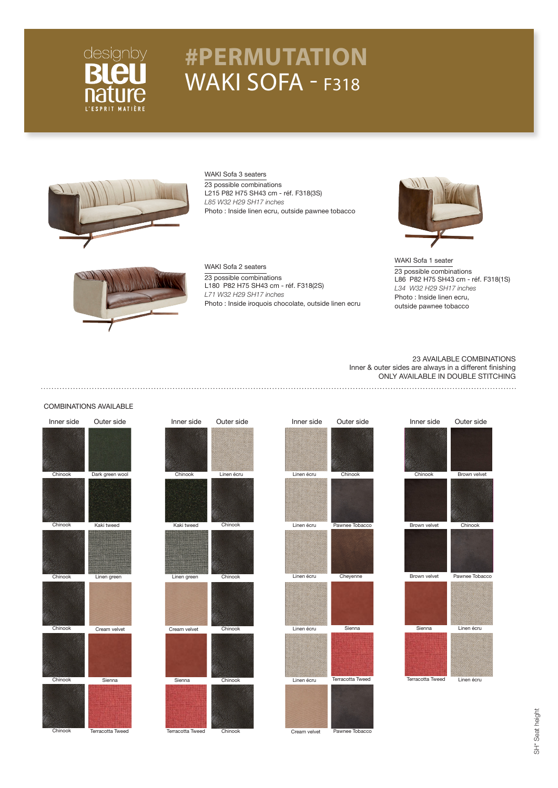

## **#PERMUTATION** WAKI SOFA - F318



WAKI Sofa 3 seaters 23 possible combinations L215 P82 H75 SH43 cm - réf. F318(3S) *L85 W32 H29 SH17 inches* Photo : Inside linen ecru, outside pawnee tobacco



WAKI Sofa 1 seater 23 possible combinations L86 P82 H75 SH43 cm - réf. F318(1S) *L34 W32 H29 SH17 inches* Photo : Inside linen ecru, outside pawnee tobacco



#### WAKI Sofa 2 seaters 23 possible combinations L180 P82 H75 SH43 cm - réf. F318(2S) *L71 W32 H29 SH17 inches* Photo : Inside iroquois chocolate, outside linen ecru

#### 23 AVAILABLE COMBINATIONS Inner & outer sides are always in a different finishing ONLY AVAILABLE IN DOUBLE STITCHING

### COMBINATIONS AVAILABLE

| Inner side | Outer side       | Inner side       | Outer side | Inner side   | Outer side       | Inner side       | Outer side     |
|------------|------------------|------------------|------------|--------------|------------------|------------------|----------------|
|            |                  |                  |            |              |                  |                  |                |
| Chinook    | Dark green wool  | Chinook          | Linen écru | Linen écru   | Chinook          | Chinook          | Brown velvet   |
|            |                  |                  |            |              |                  |                  |                |
| Chinook    | Kaki tweed       | Kaki tweed       | Chinook    | Linen écru   | Pawnee Tobacco   | Brown velvet     | Chinook        |
|            |                  |                  |            |              |                  |                  |                |
| Chinook    | Linen green      | Linen green      | Chinook    | Linen écru   | Cheyenne         | Brown velvet     | Pawnee Tobacco |
|            |                  |                  |            |              |                  |                  |                |
| Chinook    | Cream velvet     | Cream velvet     | Chinook    | Linen écru   | Sienna           | Sienna           | Linen écru     |
|            |                  |                  |            |              |                  |                  |                |
| Chinook    | Sienna           | Sienna           | Chinook    | Linen écru   | Terracotta Tweed | Terracotta Tweed | Linen écru     |
| Chinook    | Terracotta Tweed | Terracotta Tweed | Chinook    | Cream velvet | Pawnee Tobacco   |                  |                |

SH<sup>\*</sup> Seat height SH\* Seat height